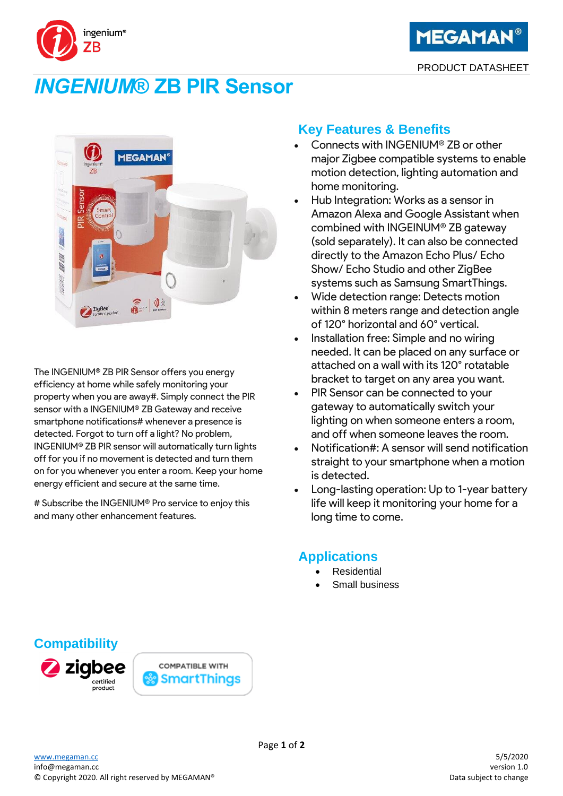

# *INGENIUM***® ZB PIR Sensor**



The INGENIUM® ZB PIR Sensor offers you energy efficiency at home while safely monitoring your property when you are away#. Simply connect the PIR sensor with a INGENIUM® ZB Gateway and receive smartphone notifications# whenever a presence is detected. Forgot to turn off a light? No problem, INGENIUM® ZB PIR sensor will automatically turn lights off for you if no movement is detected and turn them on for you whenever you enter a room. Keep your home energy efficient and secure at the same time.

# Subscribe the INGENIUM® Pro service to enjoy this and many other enhancement features.

## **Key Features & Benefits**

- Connects with INGENIUM® ZB or other major Zigbee compatible systems to enable motion detection, lighting automation and home monitoring.
- Hub Integration: Works as a sensor in Amazon Alexa and Google Assistant when combined with INGEINUM® ZB gateway (sold separately). It can also be connected directly to the Amazon Echo Plus/ Echo Show/ Echo Studio and other ZigBee systems such as Samsung SmartThings.
- Wide detection range: Detects motion within 8 meters range and detection angle of 120° horizontal and 60° vertical.
- Installation free: Simple and no wiring needed. It can be placed on any surface or attached on a wall with its 120° rotatable bracket to target on any area you want.
- PIR Sensor can be connected to your gateway to automatically switch your lighting on when someone enters a room, and off when someone leaves the room.
- Notification#: A sensor will send notification straight to your smartphone when a motion is detected.
- Long-lasting operation: Up to 1-year battery life will keep it monitoring your home for a long time to come.

## **Applications**

- **Residential**
- Small business

## **Compatibility**